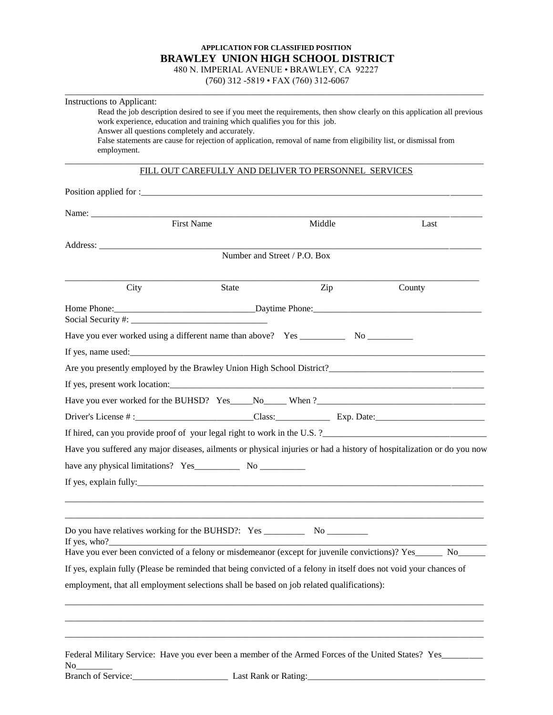## **APPLICATION FOR CLASSIFIED POSITION BRAWLEY UNION HIGH SCHOOL DISTRICT**

480 N. IMPERIAL AVENUE • BRAWLEY, CA 92227 (760) 312 -5819 • FAX (760) 312-6067 \_\_\_\_\_\_\_\_\_\_\_\_\_\_\_\_\_\_\_\_\_\_\_\_\_\_\_\_\_\_\_\_\_\_\_\_\_\_\_\_\_\_\_\_\_\_\_\_\_\_\_\_\_\_\_\_\_\_\_\_\_\_\_\_\_\_\_\_\_\_\_\_\_\_\_\_\_\_\_\_\_\_\_\_\_\_\_\_\_\_\_\_

| Read the job description desired to see if you meet the requirements, then show clearly on this application all previous<br>work experience, education and training which qualifies you for this job.<br>Answer all questions completely and accurately.<br>False statements are cause for rejection of application, removal of name from eligibility list, or dismissal from<br>employment. |       |                                                      |        |  |  |  |
|----------------------------------------------------------------------------------------------------------------------------------------------------------------------------------------------------------------------------------------------------------------------------------------------------------------------------------------------------------------------------------------------|-------|------------------------------------------------------|--------|--|--|--|
|                                                                                                                                                                                                                                                                                                                                                                                              |       | FILL OUT CAREFULLY AND DELIVER TO PERSONNEL SERVICES |        |  |  |  |
|                                                                                                                                                                                                                                                                                                                                                                                              |       |                                                      |        |  |  |  |
|                                                                                                                                                                                                                                                                                                                                                                                              |       |                                                      |        |  |  |  |
| <b>First Name</b>                                                                                                                                                                                                                                                                                                                                                                            |       | Middle                                               | Last   |  |  |  |
|                                                                                                                                                                                                                                                                                                                                                                                              |       |                                                      |        |  |  |  |
|                                                                                                                                                                                                                                                                                                                                                                                              |       | Number and Street / P.O. Box                         |        |  |  |  |
|                                                                                                                                                                                                                                                                                                                                                                                              |       |                                                      |        |  |  |  |
| City                                                                                                                                                                                                                                                                                                                                                                                         | State | Zip                                                  | County |  |  |  |
|                                                                                                                                                                                                                                                                                                                                                                                              |       |                                                      |        |  |  |  |
|                                                                                                                                                                                                                                                                                                                                                                                              |       |                                                      |        |  |  |  |
|                                                                                                                                                                                                                                                                                                                                                                                              |       |                                                      |        |  |  |  |
|                                                                                                                                                                                                                                                                                                                                                                                              |       |                                                      |        |  |  |  |
| Are you presently employed by the Brawley Union High School District?                                                                                                                                                                                                                                                                                                                        |       |                                                      |        |  |  |  |
|                                                                                                                                                                                                                                                                                                                                                                                              |       |                                                      |        |  |  |  |
|                                                                                                                                                                                                                                                                                                                                                                                              |       |                                                      |        |  |  |  |
|                                                                                                                                                                                                                                                                                                                                                                                              |       |                                                      |        |  |  |  |
|                                                                                                                                                                                                                                                                                                                                                                                              |       |                                                      |        |  |  |  |
| Have you suffered any major diseases, ailments or physical injuries or had a history of hospitalization or do you now                                                                                                                                                                                                                                                                        |       |                                                      |        |  |  |  |
|                                                                                                                                                                                                                                                                                                                                                                                              |       |                                                      |        |  |  |  |
|                                                                                                                                                                                                                                                                                                                                                                                              |       |                                                      |        |  |  |  |
|                                                                                                                                                                                                                                                                                                                                                                                              |       |                                                      |        |  |  |  |
| If yes, who?                                                                                                                                                                                                                                                                                                                                                                                 |       |                                                      |        |  |  |  |
| Have you ever been convicted of a felony or misdemeanor (except for juvenile convictions)? Yes______ No___                                                                                                                                                                                                                                                                                   |       |                                                      |        |  |  |  |
| If yes, explain fully (Please be reminded that being convicted of a felony in itself does not void your chances of                                                                                                                                                                                                                                                                           |       |                                                      |        |  |  |  |
| employment, that all employment selections shall be based on job related qualifications):                                                                                                                                                                                                                                                                                                    |       |                                                      |        |  |  |  |
|                                                                                                                                                                                                                                                                                                                                                                                              |       |                                                      |        |  |  |  |
| Federal Military Service: Have you ever been a member of the Armed Forces of the United States? Yes______<br>No                                                                                                                                                                                                                                                                              |       |                                                      |        |  |  |  |

Instructions to Applicant: